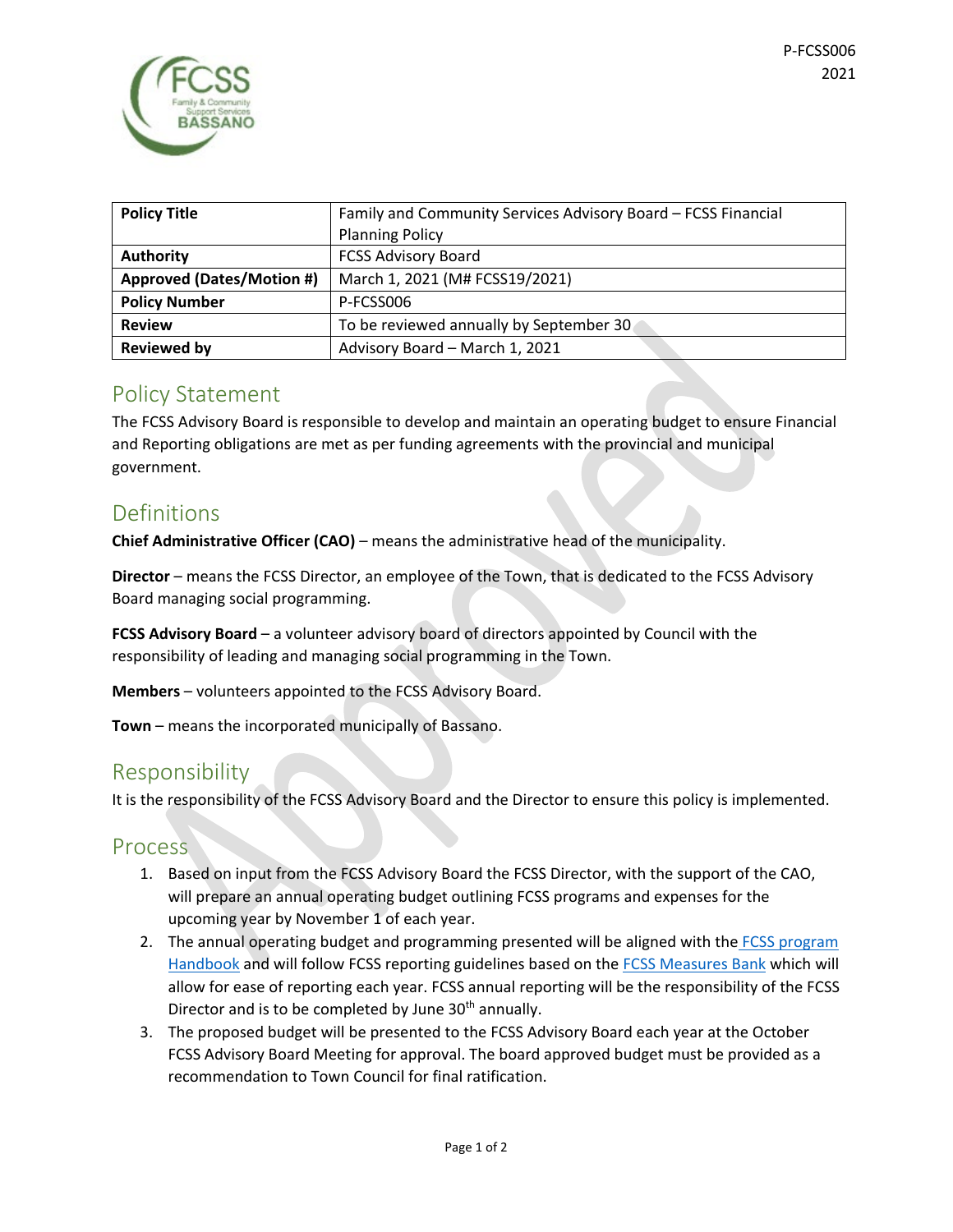| <b>Policy Title</b>              | Family and Community Services Advisory Board - FCSS Financial |
|----------------------------------|---------------------------------------------------------------|
|                                  | <b>Planning Policy</b>                                        |
| <b>Authority</b>                 | <b>FCSS Advisory Board</b>                                    |
| <b>Approved (Dates/Motion #)</b> | March 1, 2021 (M# FCSS19/2021)                                |
| <b>Policy Number</b>             | P-FCSS006                                                     |
| <b>Review</b>                    | To be reviewed annually by September 30                       |
| <b>Reviewed by</b>               | Advisory Board - March 1, 2021                                |

### Policy Statement

The FCSS Advisory Board is responsible to develop and maintain an operating budget to ensure Financial and Reporting obligations are met as per funding agreements with the provincial and municipal government.

## Definitions

**Chief Administrative Officer (CAO)** – means the administrative head of the municipality.

**Director** – means the FCSS Director, an employee of the Town, that is dedicated to the FCSS Advisory Board managing social programming.

**FCSS Advisory Board** – a volunteer advisory board of directors appointed by Council with the responsibility of leading and managing social programming in the Town.

**Members** – volunteers appointed to the FCSS Advisory Board.

**Town** – means the incorporated municipally of Bassano.

### Responsibility

It is the responsibility of the FCSS Advisory Board and the Director to ensure this policy is implemented.

#### Process

- 1. Based on input from the FCSS Advisory Board the FCSS Director, with the support of the CAO, will prepare an annual operating budget outlining FCSS programs and expenses for the upcoming year by November 1 of each year.
- 2. The annual operating budget and programming presented will be aligned with the FCSS program [Handbook](https://open.alberta.ca/dataset/18ffaf4e-db3b-476c-8901-9a9d825c366b/resource/2589adce-09c5-4830-9ba2-406c5ae4f4c7/download/2010-family-and-community-support-services-fcss-program-handbook.pdf) and will follow FCSS reporting guidelines based on the [FCSS Measures Bank](https://open.alberta.ca/dataset/3131ce15-0219-40de-9337-908ee4aa4665/resource/5722a7cd-eb3c-4685-9f60-36ffba162084/download/2014-social-care-facilities-review-committee-scfrc-measures-bank-august-2014.pdf) which will allow for ease of reporting each year. FCSS annual reporting will be the responsibility of the FCSS Director and is to be completed by June 30<sup>th</sup> annually.
- 3. The proposed budget will be presented to the FCSS Advisory Board each year at the October FCSS Advisory Board Meeting for approval. The board approved budget must be provided as a recommendation to Town Council for final ratification.